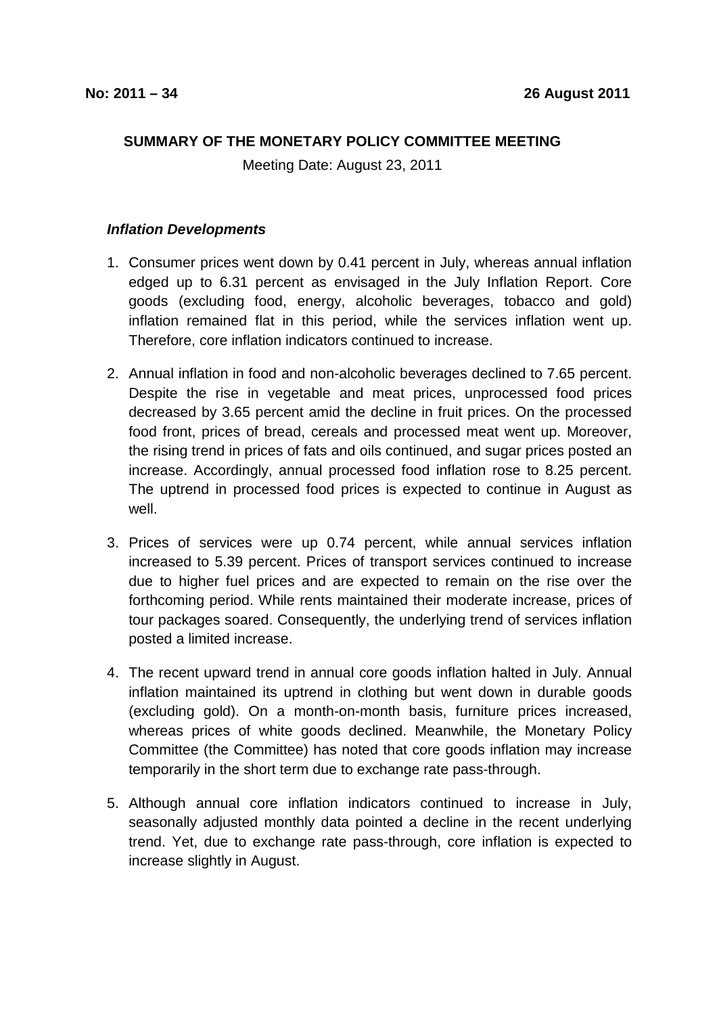## **SUMMARY OF THE MONETARY POLICY COMMITTEE MEETING**

Meeting Date: August 23, 2011

## **Inflation Developments**

- 1. Consumer prices went down by 0.41 percent in July, whereas annual inflation edged up to 6.31 percent as envisaged in the July Inflation Report. Core goods (excluding food, energy, alcoholic beverages, tobacco and gold) inflation remained flat in this period, while the services inflation went up. Therefore, core inflation indicators continued to increase.
- 2. Annual inflation in food and non-alcoholic beverages declined to 7.65 percent. Despite the rise in vegetable and meat prices, unprocessed food prices decreased by 3.65 percent amid the decline in fruit prices. On the processed food front, prices of bread, cereals and processed meat went up. Moreover, the rising trend in prices of fats and oils continued, and sugar prices posted an increase. Accordingly, annual processed food inflation rose to 8.25 percent. The uptrend in processed food prices is expected to continue in August as well.
- 3. Prices of services were up 0.74 percent, while annual services inflation increased to 5.39 percent. Prices of transport services continued to increase due to higher fuel prices and are expected to remain on the rise over the forthcoming period. While rents maintained their moderate increase, prices of tour packages soared. Consequently, the underlying trend of services inflation posted a limited increase.
- 4. The recent upward trend in annual core goods inflation halted in July. Annual inflation maintained its uptrend in clothing but went down in durable goods (excluding gold). On a month-on-month basis, furniture prices increased, whereas prices of white goods declined. Meanwhile, the Monetary Policy Committee (the Committee) has noted that core goods inflation may increase temporarily in the short term due to exchange rate pass-through.
- 5. Although annual core inflation indicators continued to increase in July, seasonally adjusted monthly data pointed a decline in the recent underlying trend. Yet, due to exchange rate pass-through, core inflation is expected to increase slightly in August.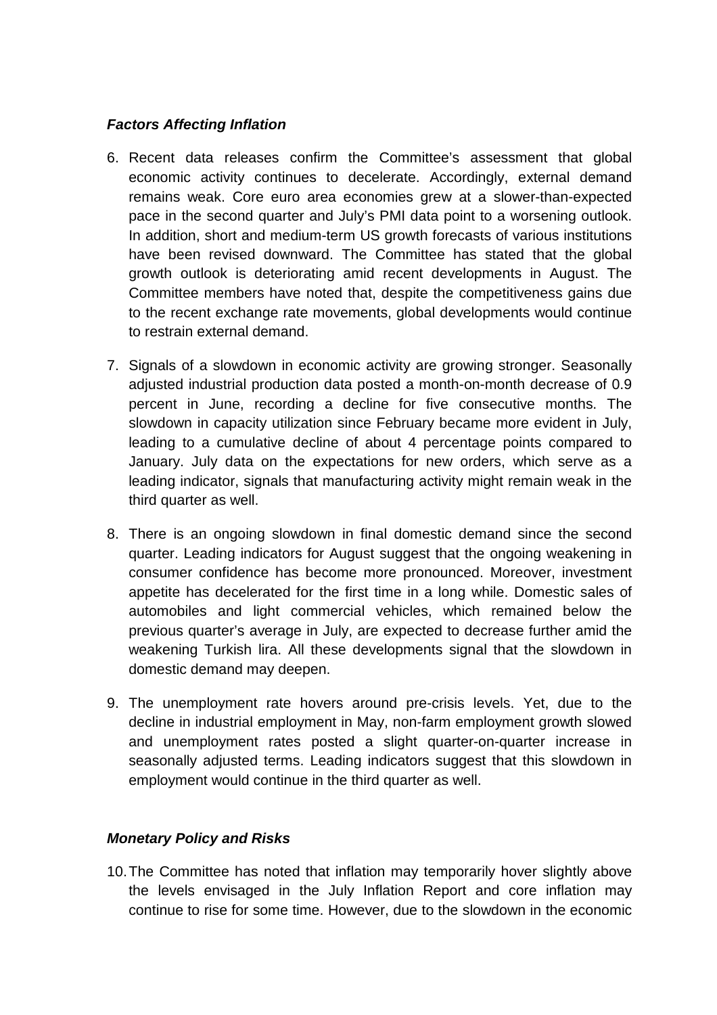## **Factors Affecting Inflation**

- 6. Recent data releases confirm the Committee's assessment that global economic activity continues to decelerate. Accordingly, external demand remains weak. Core euro area economies grew at a slower-than-expected pace in the second quarter and July's PMI data point to a worsening outlook. In addition, short and medium-term US growth forecasts of various institutions have been revised downward. The Committee has stated that the global growth outlook is deteriorating amid recent developments in August. The Committee members have noted that, despite the competitiveness gains due to the recent exchange rate movements, global developments would continue to restrain external demand.
- 7. Signals of a slowdown in economic activity are growing stronger. Seasonally adjusted industrial production data posted a month-on-month decrease of 0.9 percent in June, recording a decline for five consecutive months. The slowdown in capacity utilization since February became more evident in July, leading to a cumulative decline of about 4 percentage points compared to January. July data on the expectations for new orders, which serve as a leading indicator, signals that manufacturing activity might remain weak in the third quarter as well.
- 8. There is an ongoing slowdown in final domestic demand since the second quarter. Leading indicators for August suggest that the ongoing weakening in consumer confidence has become more pronounced. Moreover, investment appetite has decelerated for the first time in a long while. Domestic sales of automobiles and light commercial vehicles, which remained below the previous quarter's average in July, are expected to decrease further amid the weakening Turkish lira. All these developments signal that the slowdown in domestic demand may deepen.
- 9. The unemployment rate hovers around pre-crisis levels. Yet, due to the decline in industrial employment in May, non-farm employment growth slowed and unemployment rates posted a slight quarter-on-quarter increase in seasonally adjusted terms. Leading indicators suggest that this slowdown in employment would continue in the third quarter as well.

## **Monetary Policy and Risks**

10. The Committee has noted that inflation may temporarily hover slightly above the levels envisaged in the July Inflation Report and core inflation may continue to rise for some time. However, due to the slowdown in the economic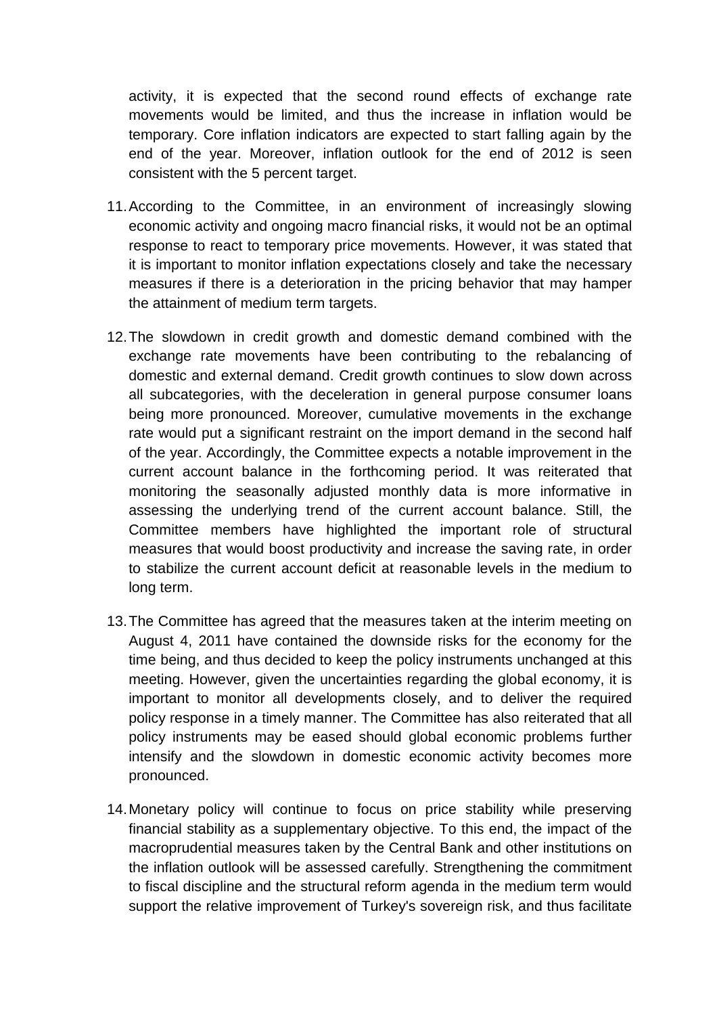activity, it is expected that the second round effects of exchange rate movements would be limited, and thus the increase in inflation would be temporary. Core inflation indicators are expected to start falling again by the end of the year. Moreover, inflation outlook for the end of 2012 is seen consistent with the 5 percent target.

- 11. According to the Committee, in an environment of increasingly slowing economic activity and ongoing macro financial risks, it would not be an optimal response to react to temporary price movements. However, it was stated that it is important to monitor inflation expectations closely and take the necessary measures if there is a deterioration in the pricing behavior that may hamper the attainment of medium term targets.
- 12. The slowdown in credit growth and domestic demand combined with the exchange rate movements have been contributing to the rebalancing of domestic and external demand. Credit growth continues to slow down across all subcategories, with the deceleration in general purpose consumer loans being more pronounced. Moreover, cumulative movements in the exchange rate would put a significant restraint on the import demand in the second half of the year. Accordingly, the Committee expects a notable improvement in the current account balance in the forthcoming period. It was reiterated that monitoring the seasonally adjusted monthly data is more informative in assessing the underlying trend of the current account balance. Still, the Committee members have highlighted the important role of structural measures that would boost productivity and increase the saving rate, in order to stabilize the current account deficit at reasonable levels in the medium to long term.
- 13. The Committee has agreed that the measures taken at the interim meeting on August 4, 2011 have contained the downside risks for the economy for the time being, and thus decided to keep the policy instruments unchanged at this meeting. However, given the uncertainties regarding the global economy, it is important to monitor all developments closely, and to deliver the required policy response in a timely manner. The Committee has also reiterated that all policy instruments may be eased should global economic problems further intensify and the slowdown in domestic economic activity becomes more pronounced.
- 14. Monetary policy will continue to focus on price stability while preserving financial stability as a supplementary objective. To this end, the impact of the macroprudential measures taken by the Central Bank and other institutions on the inflation outlook will be assessed carefully. Strengthening the commitment to fiscal discipline and the structural reform agenda in the medium term would support the relative improvement of Turkey's sovereign risk, and thus facilitate